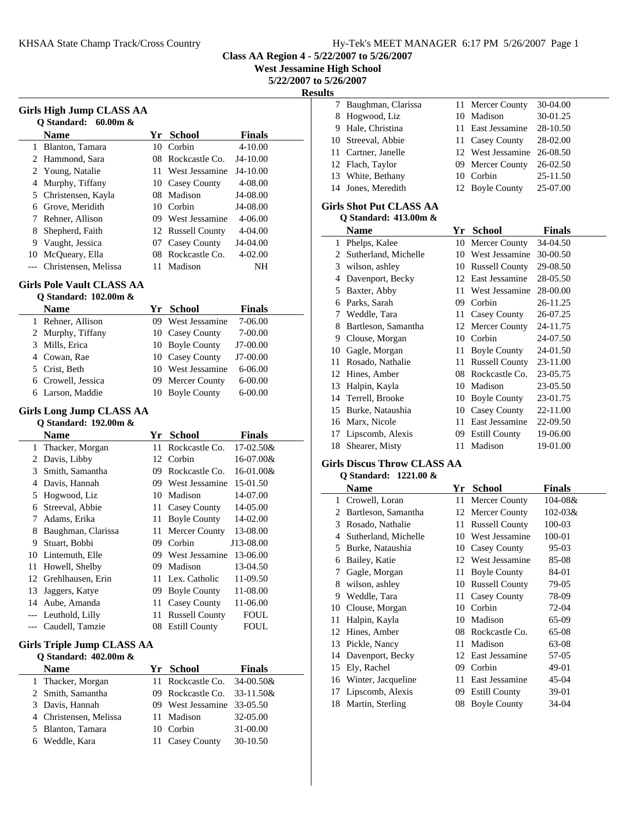**Class AA Region 4 - 5/22/2007 to 5/26/2007**

**West Jessamine High School**

**5/22/2007 to 5/26/2007**

|       |                                   |    |                            |               | <b>Result</b> |
|-------|-----------------------------------|----|----------------------------|---------------|---------------|
|       | <b>Girls High Jump CLASS AA</b>   |    |                            |               |               |
|       | Q Standard: 60.00m &              |    |                            |               |               |
|       | Name                              |    | Yr School                  | <b>Finals</b> |               |
|       | 1 Blanton, Tamara                 | 10 | Corbin                     | 4-10.00       |               |
|       | 2 Hammond, Sara                   | 08 | Rockcastle Co.             | J4-10.00      |               |
|       | 2 Young, Natalie                  |    | 11 West Jessamine          | J4-10.00      |               |
| 4     | Murphy, Tiffany                   |    | 10 Casey County            | 4-08.00       |               |
|       | 5 Christensen, Kayla              | 08 | Madison                    | J4-08.00      |               |
|       | 6 Grove, Meridith                 |    | 10 Corbin                  | J4-08.00      |               |
|       | 7 Rehner, Allison                 |    | 09 West Jessamine          | $4 - 06.00$   |               |
| 8     | Shepherd, Faith                   |    | 12 Russell County          | 4-04.00       |               |
|       | 9 Vaught, Jessica                 |    | 07 Casey County            | J4-04.00      |               |
|       | 10 McQueary, Ella                 |    | 08 Rockcastle Co.          | 4-02.00       |               |
| ---   | Christensen, Melissa              | 11 | Madison                    | NH            |               |
|       | <b>Girls Pole Vault CLASS AA</b>  |    |                            |               |               |
|       | Q Standard: 102.00m &             |    |                            |               |               |
|       | <b>Name</b>                       |    | Yr School                  | <b>Finals</b> |               |
|       | 1 Rehner, Allison                 | 09 | West Jessamine             | 7-06.00       |               |
|       | 2 Murphy, Tiffany                 |    | 10 Casey County            | 7-00.00       |               |
|       | 3 Mills, Erica                    |    | 10 Boyle County            | J7-00.00      |               |
|       | 4 Cowan, Rae                      |    | 10 Casey County            | J7-00.00      |               |
|       | 5 Crist, Beth                     |    | 10 West Jessamine          | 6-06.00       |               |
|       | 6 Crowell, Jessica                |    | 09 Mercer County           | $6 - 00.00$   |               |
|       | 6 Larson, Maddie                  |    | 10 Boyle County            | $6 - 00.00$   |               |
|       |                                   |    |                            |               |               |
|       | Girls Long Jump CLASS AA          |    |                            |               |               |
|       | Q Standard: 192.00m &             |    |                            |               |               |
|       | <b>Name</b>                       |    | Yr School                  | <b>Finals</b> |               |
|       | 1 Thacker, Morgan                 | 11 | Rockcastle Co.             | 17-02.50&     |               |
|       | 2 Davis, Libby                    | 12 | Corbin                     | 16-07.00&     |               |
| 3     | Smith, Samantha                   | 09 | Rockcastle Co.             | 16-01.00&     |               |
|       | 4 Davis, Hannah                   | 09 | West Jessamine             | 15-01.50      |               |
|       | 5 Hogwood, Liz                    | 10 | Madison                    | 14-07.00      |               |
|       | 6 Streeval, Abbie                 | 11 | <b>Casey County</b>        | 14-05.00      |               |
| 7     | Adams, Erika                      | 11 | <b>Boyle County</b>        | 14-02.00      |               |
|       | 8 Baughman, Clarissa              | 11 | Mercer County              | 13-08.00      |               |
|       | 9 Stuart, Bobbi                   |    | 09 Corbin                  | J13-08.00     |               |
|       | 10 Lintemuth, Elle                |    | 09 West Jessamine 13-06.00 |               |               |
|       | 11 Howell, Shelby                 |    | 09 Madison                 | 13-04.50      |               |
|       | 12 Grehlhausen, Erin              | 11 | Lex. Catholic              | 11-09.50      |               |
| 13    | Jaggers, Katye                    |    | 09 Boyle County            | 11-08.00      |               |
| 14    | Aube, Amanda                      | 11 | Casey County               | 11-06.00      |               |
| $---$ | Leuthold, Lilly                   | 11 | <b>Russell County</b>      | FOUL          |               |
| ---   | Caudell, Tamzie                   |    | 08 Estill County           | <b>FOUL</b>   |               |
|       |                                   |    |                            |               |               |
|       | <b>Girls Triple Jump CLASS AA</b> |    |                            |               |               |
|       | Q Standard: 402.00m &             |    |                            |               |               |
|       | <b>Name</b>                       |    | Yr School                  | <b>Finals</b> |               |
|       | 1 Thacker, Morgan                 | 11 | Rockcastle Co.             | 34-00.50&     |               |
| 2     | Smith, Samantha                   |    | 09 Rockcastle Co.          | 33-11.50&     |               |
|       | 3 Davis, Hannah                   |    | 09 West Jessamine          | 33-05.50      |               |
|       | 4 Christensen, Melissa            | 11 | Madison                    | 32-05.00      |               |
| 5     | Blanton, Tamara                   |    | 10 Corbin                  | 31-00.00      |               |
|       | 6 Weddle, Kara                    |    | 11 Casey County            | 30-10.50      |               |

| 7 Baughman, Clarissa | 11 Mercer County           | 30-04.00 |
|----------------------|----------------------------|----------|
| 8 Hogwood, Liz       | 10 Madison                 | 30-01.25 |
| 9 Hale, Christina    | 11 East Jessamine          | 28-10.50 |
| 10 Streeval, Abbie   | 11 Casey County            | 28-02.00 |
| 11 Cartner, Janelle  | 12 West Jessamine 26-08.50 |          |
| 12 Flach, Taylor     | 09 Mercer County           | 26-02.50 |
| 13 White, Bethany    | 10 Corbin                  | 25-11.50 |
| 14 Jones, Meredith   | 12 Boyle County            | 25-07.00 |
|                      |                            |          |

### **Girls Shot Put CLASS AA Q Standard: 413.00m &**

|                             | <b>Name</b>          | Yr  | <b>School</b>         | Finals   |
|-----------------------------|----------------------|-----|-----------------------|----------|
|                             | 1 Phelps, Kalee      | 10  | Mercer County         | 34-04.50 |
| $\mathcal{D}_{\mathcal{L}}$ | Sutherland, Michelle | 10  | West Jessamine        | 30-00.50 |
| 3                           | wilson, ashley       | 10  | <b>Russell County</b> | 29-08.50 |
| 4                           | Davenport, Becky     |     | 12 East Jessamine     | 28-05.50 |
| 5                           | Baxter, Abby         | 11  | West Jessamine        | 28-00.00 |
| 6                           | Parks, Sarah         | 09  | Corbin                | 26-11.25 |
| 7                           | Weddle, Tara         |     | 11 Casey County       | 26-07.25 |
| 8                           | Bartleson, Samantha  |     | 12 Mercer County      | 24-11.75 |
| 9                           | Clouse, Morgan       | 10  | Corbin                | 24-07.50 |
| 10                          | Gagle, Morgan        | 11  | <b>Boyle County</b>   | 24-01.50 |
| 11                          | Rosado, Nathalie     | 11  | <b>Russell County</b> | 23-11.00 |
| 12                          | Hines, Amber         | 08  | Rockcastle Co.        | 23-05.75 |
| 13                          | Halpin, Kayla        | 10  | Madison               | 23-05.50 |
| 14                          | Terrell, Brooke      | 10  | <b>Boyle County</b>   | 23-01.75 |
| 15                          | Burke, Nataushia     | 10  | Casey County          | 22-11.00 |
| 16                          | Marx, Nicole         | 11  | East Jessamine        | 22-09.50 |
| 17                          | Lipscomb, Alexis     | 09. | <b>Estill County</b>  | 19-06.00 |
| 18                          | Shearer, Misty       | 11  | Madison               | 19-01.00 |

### **Girls Discus Throw CLASS AA Q Standard: 1221.00 &**

|    | Name                 | Yr  | <b>School</b>         | Finals       |
|----|----------------------|-----|-----------------------|--------------|
| 1  | Crowell, Loran       | 11. | Mercer County         | 104-08&      |
| 2  | Bartleson, Samantha  |     | 12 Mercer County      | $102 - 03$ & |
| 3  | Rosado, Nathalie     | 11  | <b>Russell County</b> | 100-03       |
| 4  | Sutherland, Michelle |     | 10 West Jessamine     | 100-01       |
| 5  | Burke, Nataushia     | 10  | Casey County          | $95-03$      |
| 6  | Bailey, Katie        |     | 12 West Jessamine     | 85-08        |
| 7  | Gagle, Morgan        | 11  | <b>Boyle County</b>   | 84-01        |
| 8  | wilson, ashley       | 10  | <b>Russell County</b> | 79-05        |
| 9  | Weddle, Tara         | 11  | Casey County          | 78-09        |
| 10 | Clouse, Morgan       | 10  | Corbin                | 72-04        |
| 11 | Halpin, Kayla        | 10  | Madison               | 65-09        |
|    | 12 Hines, Amber      |     | 08 Rockcastle Co.     | 65-08        |
| 13 | Pickle, Nancy        | 11  | Madison               | 63-08        |
|    | 14 Davenport, Becky  |     | 12 East Jessamine     | 57-05        |
| 15 | Ely, Rachel          | 09  | Corbin                | 49-01        |
| 16 | Winter, Jacqueline   | 11  | East Jessamine        | 45-04        |
| 17 | Lipscomb, Alexis     | 09  | <b>Estill County</b>  | 39-01        |
| 18 | Martin, Sterling     | 08  | <b>Boyle County</b>   | 34-04        |